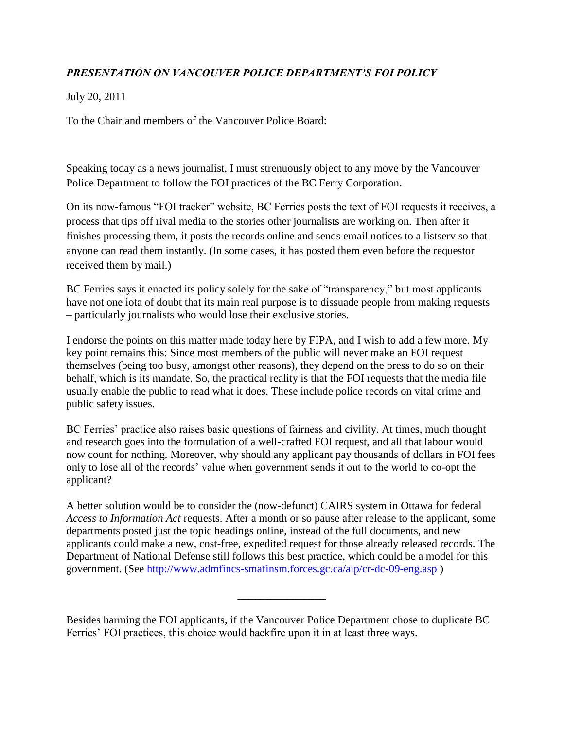## *PRESENTATION ON VANCOUVER POLICE DEPARTMENT'S FOI POLICY*

July 20, 2011

To the Chair and members of the Vancouver Police Board:

Speaking today as a news journalist, I must strenuously object to any move by the Vancouver Police Department to follow the FOI practices of the BC Ferry Corporation.

On its now-famous "FOI tracker" website, BC Ferries posts the text of FOI requests it receives, a process that tips off rival media to the stories other journalists are working on. Then after it finishes processing them, it posts the records online and sends email notices to a listserv so that anyone can read them instantly. (In some cases, it has posted them even before the requestor received them by mail.)

BC Ferries says it enacted its policy solely for the sake of "transparency," but most applicants have not one iota of doubt that its main real purpose is to dissuade people from making requests – particularly journalists who would lose their exclusive stories.

I endorse the points on this matter made today here by FIPA, and I wish to add a few more. My key point remains this: Since most members of the public will never make an FOI request themselves (being too busy, amongst other reasons), they depend on the press to do so on their behalf, which is its mandate. So, the practical reality is that the FOI requests that the media file usually enable the public to read what it does. These include police records on vital crime and public safety issues.

BC Ferries' practice also raises basic questions of fairness and civility. At times, much thought and research goes into the formulation of a well-crafted FOI request, and all that labour would now count for nothing. Moreover, why should any applicant pay thousands of dollars in FOI fees only to lose all of the records' value when government sends it out to the world to co-opt the applicant?

A better solution would be to consider the (now-defunct) CAIRS system in Ottawa for federal *Access to Information Act* requests. After a month or so pause after release to the applicant, some departments posted just the topic headings online, instead of the full documents, and new applicants could make a new, cost-free, expedited request for those already released records. The Department of National Defense still follows this best practice, which could be a model for this government. (See http://www.admfincs-smafinsm.forces.gc.ca/aip/cr-dc-09-eng.asp )

Besides harming the FOI applicants, if the Vancouver Police Department chose to duplicate BC Ferries' FOI practices, this choice would backfire upon it in at least three ways.

\_\_\_\_\_\_\_\_\_\_\_\_\_\_\_\_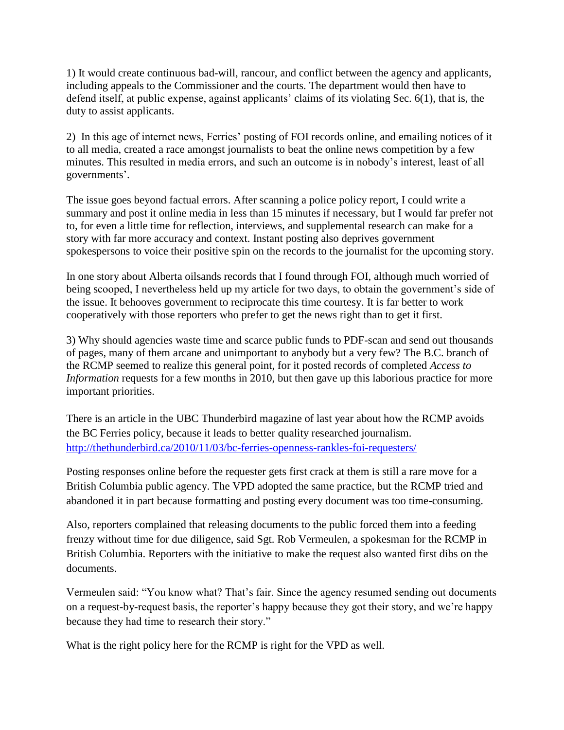1) It would create continuous bad-will, rancour, and conflict between the agency and applicants, including appeals to the Commissioner and the courts. The department would then have to defend itself, at public expense, against applicants' claims of its violating Sec. 6(1), that is, the duty to assist applicants.

2) In this age of internet news, Ferries' posting of FOI records online, and emailing notices of it to all media, created a race amongst journalists to beat the online news competition by a few minutes. This resulted in media errors, and such an outcome is in nobody's interest, least of all governments'.

The issue goes beyond factual errors. After scanning a police policy report, I could write a summary and post it online media in less than 15 minutes if necessary, but I would far prefer not to, for even a little time for reflection, interviews, and supplemental research can make for a story with far more accuracy and context. Instant posting also deprives government spokespersons to voice their positive spin on the records to the journalist for the upcoming story.

In one story about Alberta oilsands records that I found through FOI, although much worried of being scooped, I nevertheless held up my article for two days, to obtain the government's side of the issue. It behooves government to reciprocate this time courtesy. It is far better to work cooperatively with those reporters who prefer to get the news right than to get it first.

3) Why should agencies waste time and scarce public funds to PDF-scan and send out thousands of pages, many of them arcane and unimportant to anybody but a very few? The B.C. branch of the RCMP seemed to realize this general point, for it posted records of completed *Access to Information* requests for a few months in 2010, but then gave up this laborious practice for more important priorities.

There is an article in the UBC Thunderbird magazine of last year about how the RCMP avoids the BC Ferries policy, because it leads to better quality researched journalism. <http://thethunderbird.ca/2010/11/03/bc-ferries-openness-rankles-foi-requesters/>

Posting responses online before the requester gets first crack at them is still a rare move for a British Columbia public agency. The VPD adopted the same practice, but the RCMP tried and abandoned it in part because formatting and posting every document was too time-consuming.

Also, reporters complained that releasing documents to the public forced them into a feeding frenzy without time for due diligence, said Sgt. Rob Vermeulen, a spokesman for the RCMP in British Columbia. Reporters with the initiative to make the request also wanted first dibs on the documents.

Vermeulen said: "You know what? That's fair. Since the agency resumed sending out documents on a request-by-request basis, the reporter's happy because they got their story, and we're happy because they had time to research their story."

What is the right policy here for the RCMP is right for the VPD as well.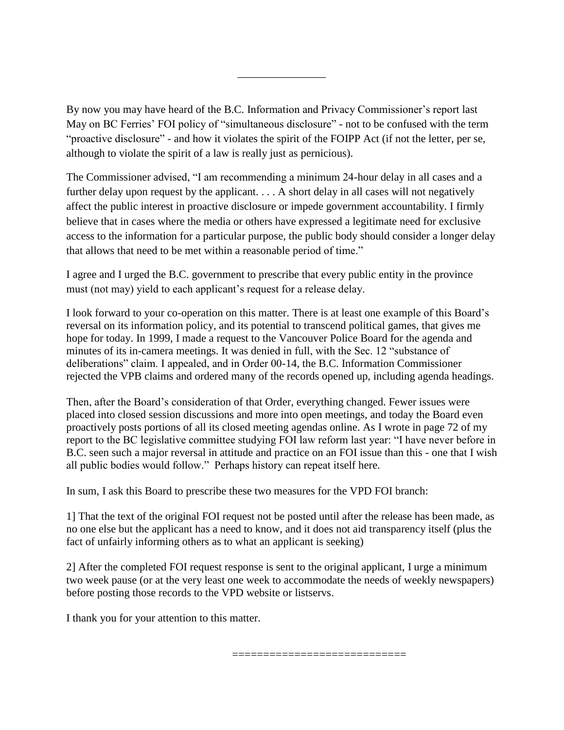By now you may have heard of the B.C. Information and Privacy Commissioner's report last May on BC Ferries' FOI policy of "simultaneous disclosure" - not to be confused with the term "proactive disclosure" - and how it violates the spirit of the FOIPP Act (if not the letter, per se, although to violate the spirit of a law is really just as pernicious).

\_\_\_\_\_\_\_\_\_\_\_\_\_\_\_\_

The Commissioner advised, "I am recommending a minimum 24-hour delay in all cases and a further delay upon request by the applicant. . . . A short delay in all cases will not negatively affect the public interest in proactive disclosure or impede government accountability. I firmly believe that in cases where the media or others have expressed a legitimate need for exclusive access to the information for a particular purpose, the public body should consider a longer delay that allows that need to be met within a reasonable period of time."

I agree and I urged the B.C. government to prescribe that every public entity in the province must (not may) yield to each applicant's request for a release delay.

I look forward to your co-operation on this matter. There is at least one example of this Board's reversal on its information policy, and its potential to transcend political games, that gives me hope for today. In 1999, I made a request to the Vancouver Police Board for the agenda and minutes of its in-camera meetings. It was denied in full, with the Sec. 12 "substance of deliberations" claim. I appealed, and in Order 00-14, the B.C. Information Commissioner rejected the VPB claims and ordered many of the records opened up, including agenda headings.

Then, after the Board's consideration of that Order, everything changed. Fewer issues were placed into closed session discussions and more into open meetings, and today the Board even proactively posts portions of all its closed meeting agendas online. As I wrote in page 72 of my report to the BC legislative committee studying FOI law reform last year: "I have never before in B.C. seen such a major reversal in attitude and practice on an FOI issue than this - one that I wish all public bodies would follow." Perhaps history can repeat itself here.

In sum, I ask this Board to prescribe these two measures for the VPD FOI branch:

1] That the text of the original FOI request not be posted until after the release has been made, as no one else but the applicant has a need to know, and it does not aid transparency itself (plus the fact of unfairly informing others as to what an applicant is seeking)

2] After the completed FOI request response is sent to the original applicant, I urge a minimum two week pause (or at the very least one week to accommodate the needs of weekly newspapers) before posting those records to the VPD website or listservs.

I thank you for your attention to this matter.